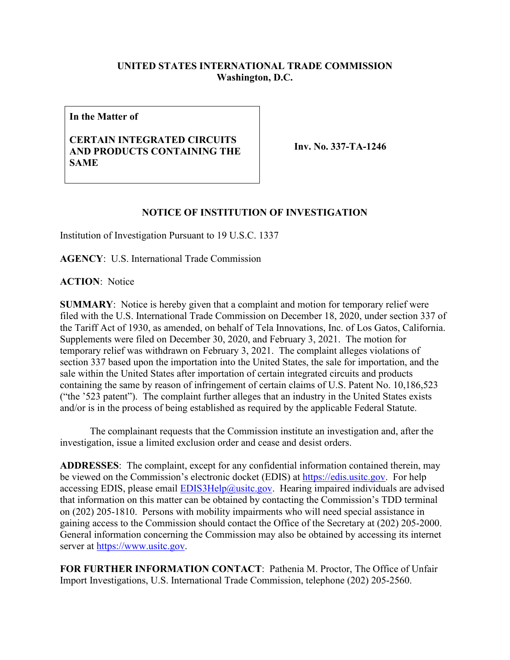## **UNITED STATES INTERNATIONAL TRADE COMMISSION Washington, D.C.**

**In the Matter of**

## **CERTAIN INTEGRATED CIRCUITS AND PRODUCTS CONTAINING THE SAME**

**Inv. No. 337-TA-1246**

## **NOTICE OF INSTITUTION OF INVESTIGATION**

Institution of Investigation Pursuant to 19 U.S.C. 1337

**AGENCY**: U.S. International Trade Commission

**ACTION**: Notice

**SUMMARY**: Notice is hereby given that a complaint and motion for temporary relief were filed with the U.S. International Trade Commission on December 18, 2020, under section 337 of the Tariff Act of 1930, as amended, on behalf of Tela Innovations, Inc. of Los Gatos, California. Supplements were filed on December 30, 2020, and February 3, 2021. The motion for temporary relief was withdrawn on February 3, 2021. The complaint alleges violations of section 337 based upon the importation into the United States, the sale for importation, and the sale within the United States after importation of certain integrated circuits and products containing the same by reason of infringement of certain claims of U.S. Patent No. 10,186,523 ("the '523 patent"). The complaint further alleges that an industry in the United States exists and/or is in the process of being established as required by the applicable Federal Statute.

The complainant requests that the Commission institute an investigation and, after the investigation, issue a limited exclusion order and cease and desist orders.

**ADDRESSES**: The complaint, except for any confidential information contained therein, may be viewed on the Commission's electronic docket (EDIS) at [https://edis.usitc.gov.](https://edis.usitc.gov/) For help accessing EDIS, please email  $EDIS3Help@usite.gov$ . Hearing impaired individuals are advised that information on this matter can be obtained by contacting the Commission's TDD terminal on (202) 205-1810. Persons with mobility impairments who will need special assistance in gaining access to the Commission should contact the Office of the Secretary at (202) 205-2000. General information concerning the Commission may also be obtained by accessing its internet server at [https://www.usitc.gov.](https://www.usitc.gov/)

**FOR FURTHER INFORMATION CONTACT**: Pathenia M. Proctor, The Office of Unfair Import Investigations, U.S. International Trade Commission, telephone (202) 205-2560.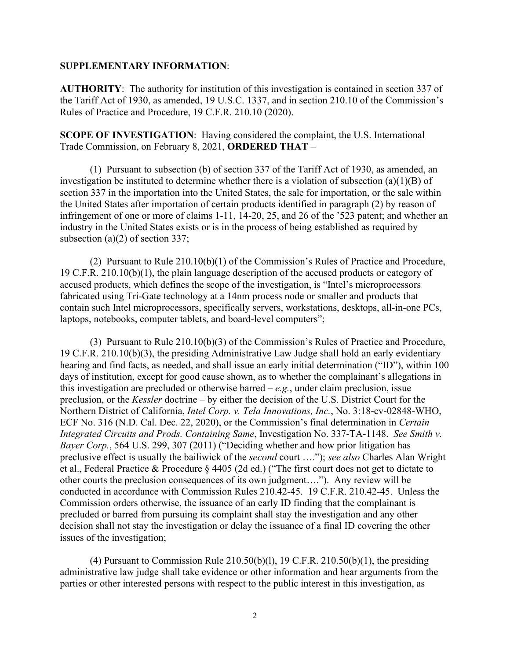## **SUPPLEMENTARY INFORMATION**:

**AUTHORITY**: The authority for institution of this investigation is contained in section 337 of the Tariff Act of 1930, as amended, 19 U.S.C. 1337, and in section 210.10 of the Commission's Rules of Practice and Procedure, 19 C.F.R. 210.10 (2020).

**SCOPE OF INVESTIGATION**: Having considered the complaint, the U.S. International Trade Commission, on February 8, 2021, **ORDERED THAT** –

(1) Pursuant to subsection (b) of section 337 of the Tariff Act of 1930, as amended, an investigation be instituted to determine whether there is a violation of subsection (a)(1)(B) of section 337 in the importation into the United States, the sale for importation, or the sale within the United States after importation of certain products identified in paragraph (2) by reason of infringement of one or more of claims 1-11, 14-20, 25, and 26 of the '523 patent; and whether an industry in the United States exists or is in the process of being established as required by subsection (a)(2) of section 337;

(2) Pursuant to Rule 210.10(b)(1) of the Commission's Rules of Practice and Procedure, 19 C.F.R. 210.10(b)(1), the plain language description of the accused products or category of accused products, which defines the scope of the investigation, is "Intel's microprocessors fabricated using Tri-Gate technology at a 14nm process node or smaller and products that contain such Intel microprocessors, specifically servers, workstations, desktops, all-in-one PCs, laptops, notebooks, computer tablets, and board-level computers";

(3) Pursuant to Rule 210.10(b)(3) of the Commission's Rules of Practice and Procedure, 19 C.F.R. 210.10(b)(3), the presiding Administrative Law Judge shall hold an early evidentiary hearing and find facts, as needed, and shall issue an early initial determination ("ID"), within 100 days of institution, except for good cause shown, as to whether the complainant's allegations in this investigation are precluded or otherwise barred – *e.g.*, under claim preclusion, issue preclusion, or the *Kessler* doctrine – by either the decision of the U.S. District Court for the Northern District of California, *Intel Corp. v. Tela Innovations, Inc.*, No. 3:18-cv-02848-WHO, ECF No. 316 (N.D. Cal. Dec. 22, 2020), or the Commission's final determination in *Certain Integrated Circuits and Prods. Containing Same*, Investigation No. 337-TA-1148. *See Smith v. Bayer Corp.*, 564 U.S. 299, 307 (2011) ("Deciding whether and how prior litigation has preclusive effect is usually the bailiwick of the *second* court …."); *see also* Charles Alan Wright et al., Federal Practice & Procedure § 4405 (2d ed.) ("The first court does not get to dictate to other courts the preclusion consequences of its own judgment…."). Any review will be conducted in accordance with Commission Rules 210.42-45. 19 C.F.R. 210.42-45. Unless the Commission orders otherwise, the issuance of an early ID finding that the complainant is precluded or barred from pursuing its complaint shall stay the investigation and any other decision shall not stay the investigation or delay the issuance of a final ID covering the other issues of the investigation;

(4) Pursuant to Commission Rule  $210.50(b)(1)$ , 19 C.F.R.  $210.50(b)(1)$ , the presiding administrative law judge shall take evidence or other information and hear arguments from the parties or other interested persons with respect to the public interest in this investigation, as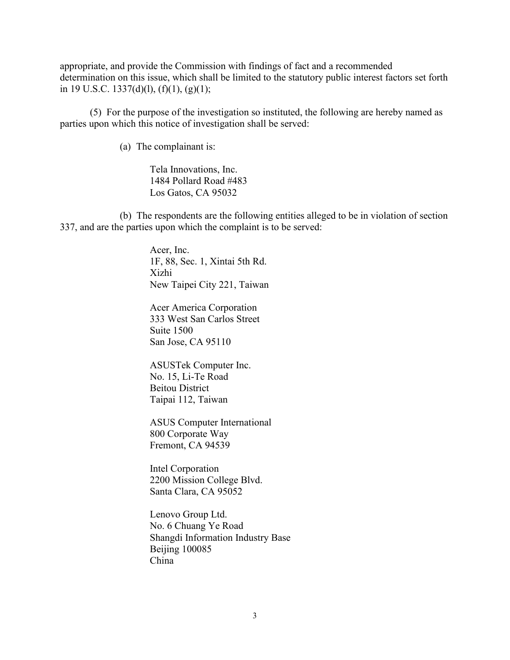appropriate, and provide the Commission with findings of fact and a recommended determination on this issue, which shall be limited to the statutory public interest factors set forth in 19 U.S.C. 1337(d)(1),  $(f)(1)$ ,  $(g)(1)$ ;

(5) For the purpose of the investigation so instituted, the following are hereby named as parties upon which this notice of investigation shall be served:

(a) The complainant is:

Tela Innovations, Inc. 1484 Pollard Road #483 Los Gatos, CA 95032

(b) The respondents are the following entities alleged to be in violation of section 337, and are the parties upon which the complaint is to be served:

> Acer, Inc. 1F, 88, Sec. 1, Xintai 5th Rd. Xizhi New Taipei City 221, Taiwan

Acer America Corporation 333 West San Carlos Street Suite 1500 San Jose, CA 95110

ASUSTek Computer Inc. No. 15, Li-Te Road Beitou District Taipai 112, Taiwan

ASUS Computer International 800 Corporate Way Fremont, CA 94539

Intel Corporation 2200 Mission College Blvd. Santa Clara, CA 95052

Lenovo Group Ltd. No. 6 Chuang Ye Road Shangdi Information Industry Base Beijing 100085 China